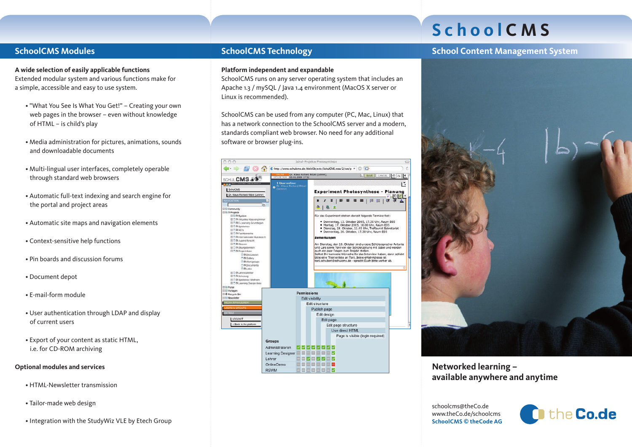# **S c h o o l C M S**

**School Content Management System**

# **SchoolCMS Modules**

#### **A wide selection of easily applicable functions** Extended modular system and various functions make for a simple, accessible and easy to use system.

- "What You See Is What You Get!" Creating your own web pages in the browser – even without knowledge of HTML – is child's play
- Media administration for pictures, animations, sounds and downloadable documents
- Multi-lingual user interfaces, completely operable through standard web browsers
- Automatic full-text indexing and search engine for the portal and project areas
- Automatic site maps and navigation elements
- Context-sensitive help functions
- Pin boards and discussion forums
- Document depot
- E-mail-form module
- User authentication through LDAP and display of current users
- Export of your content as static HTML, i.e. for CD-ROM archiving

## **Optional modules and services**

- HTML-Newsletter transmission
- Tailor-made web design
- Integration with the StudyWiz VLE by Etech Group

# **SchoolCMS Technology**

### **Platform independent and expandable**

SchoolCMS runs on any server operating system that includes an Apache 1.3 / mySQL / Java 1.4 environment (MacOS X server or Linux is recommended).

SchoolCMS can be used from any computer (PC, Mac, Linux) that has a network connection to the SchoolCMS server and a modern, standards compliant web browser. No need for any additional software or browser plug-ins.





# **Networked learning – available anywhere and anytime**

schoolcms@theCo.de www.theCo.de/schoolcms **SchoolCMS © theCode AG**